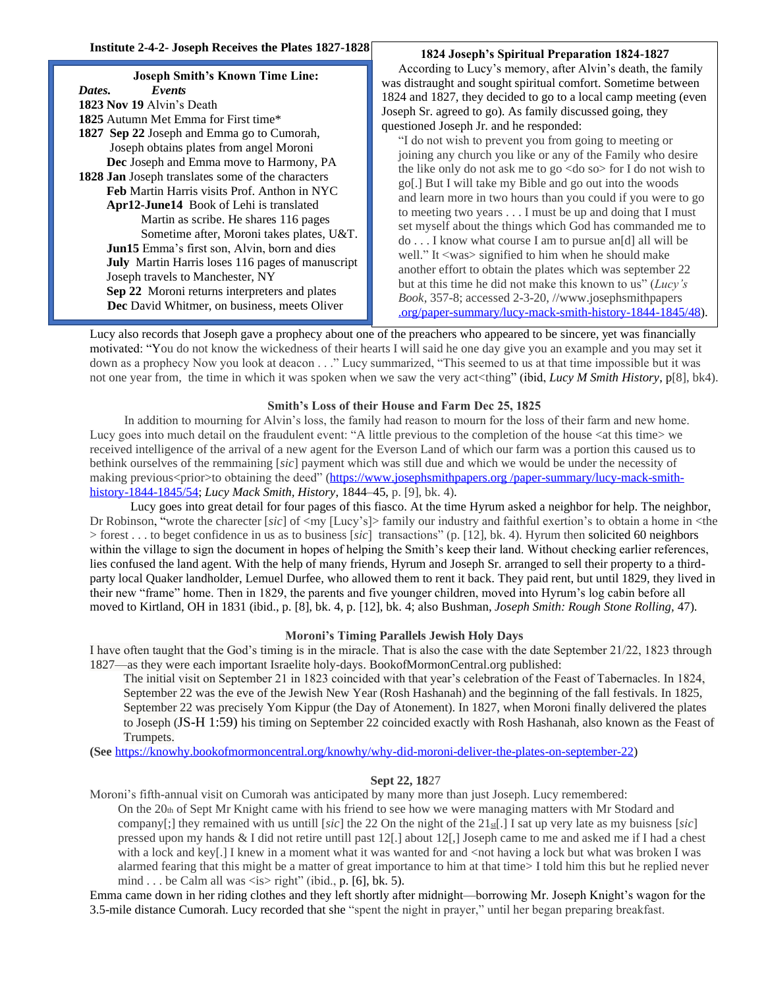# **Joseph Smith's Known Time Line:**  *Dates. Events* **1823 Nov 19** Alvin's Death **1825** Autumn Met Emma for First time\* **1827 Sep 22** Joseph and Emma go to Cumorah, Joseph obtains plates from angel Moroni  **Dec** Joseph and Emma move to Harmony, PA **1828 Jan** Joseph translates some of the characters **Feb** Martin Harris visits Prof. Anthon in NYC  **Apr12-June14** Book of Lehi is translated Martin as scribe. He shares 116 pages Sometime after, Moroni takes plates, U&T. **Jun15** Emma's first son, Alvin, born and dies **July** Martin Harris loses 116 pages of manuscript Joseph travels to Manchester, NY **Sep 22** Moroni returns interpreters and plates  **Dec** David Whitmer, on business, meets Oliver

# **1824 Joseph's Spiritual Preparation 1824-1827**

According to Lucy's memory, after Alvin's death, the family was distraught and sought spiritual comfort. Sometime between 1824 and 1827, they decided to go to a local camp meeting (even Joseph Sr. agreed to go). As family discussed going, they questioned Joseph Jr. and he responded:

"I do not wish to prevent you from going to meeting or joining any church you like or any of the Family who desire the like only do not ask me to go <do so> for I do not wish to go[.] But I will take my Bible and go out into the woods and learn more in two hours than you could if you were to go to meeting two years . . . I must be up and doing that I must set myself about the things which God has commanded me to do . . . I know what course I am to pursue an[d] all will be well." It <was> signified to him when he should make another effort to obtain the plates which was september 22 but at this time he did not make this known to us" (*Lucy's Book*, 357-8; accessed 2-3-20, //www.josephsmithpapers .org/paper-summary/lucy-mack-smith-history-1844-1845/48).

Lucy also records that Joseph gave a prophecy about one of the preachers who appeared to be sincere, yet was financially motivated: "You do not know the wickedness of their hearts I will said he one day give you an example and you may set it down as a prophecy Now you look at deacon . . ." Lucy summarized, "This seemed to us at that time impossible but it was not one year from, the time in which it was spoken when we saw the very act<thing" (ibid, *Lucy M Smith History*, p[8], bk4).

# **Smith's Loss of their House and Farm Dec 25, 1825**

 In addition to mourning for Alvin's loss, the family had reason to mourn for the loss of their farm and new home. Lucy goes into much detail on the fraudulent event: "A little previous to the completion of the house <at this time> we received intelligence of the arrival of a new agent for the Everson Land of which our farm was a portion this caused us to bethink ourselves of the remmaining [*sic*] payment which was still due and which we would be under the necessity of making previous<prior>to obtaining the deed" (https://www.josephsmithpapers.org /paper-summary/lucy-mack-smithhistory-1844-1845/54; *Lucy Mack Smith, History*, 1844–45, p. [9], bk. 4).

 Lucy goes into great detail for four pages of this fiasco. At the time Hyrum asked a neighbor for help. The neighbor, Dr Robinson, "wrote the charecter [sic] of <my [Lucy's]> family our industry and faithful exertion's to obtain a home in <the > forest . . . to beget confidence in us as to business [*sic*] transactions" (p. [12], bk. 4). Hyrum then solicited 60 neighbors within the village to sign the document in hopes of helping the Smith's keep their land. Without checking earlier references, lies confused the land agent. With the help of many friends, Hyrum and Joseph Sr. arranged to sell their property to a thirdparty local Quaker landholder, Lemuel Durfee, who allowed them to rent it back. They paid rent, but until 1829, they lived in their new "frame" home. Then in 1829, the parents and five younger children, moved into Hyrum's log cabin before all moved to Kirtland, OH in 1831 (ibid., p. [8], bk. 4, p. [12], bk. 4; also Bushman, *Joseph Smith: Rough Stone Rolling,* 47).

# **Moroni's Timing Parallels Jewish Holy Days**

I have often taught that the God's timing is in the miracle. That is also the case with the date September 21/22, 1823 through 1827—as they were each important Israelite holy-days. BookofMormonCentral.org published:

The initial visit on September 21 in 1823 coincided with that year's celebration of the Feast of Tabernacles. In 1824, September 22 was the eve of the Jewish New Year (Rosh Hashanah) and the beginning of the fall festivals. In 1825, September 22 was precisely Yom Kippur (the Day of Atonement). In 1827, when Moroni finally delivered the plates to Joseph (JS-H 1:59) his timing on September 22 coincided exactly with Rosh Hashanah, also known as the Feast of Trumpets.

**(See** [https://knowhy.bookofmormoncentral.org/knowhy/why-did-moroni-deliver-the-plates-on-september-22\)](https://knowhy.bookofmormoncentral.org/knowhy/why-did-moroni-deliver-the-plates-on-september-22)

# **Sept 22, 18**27

Moroni's fifth-annual visit on Cumorah was anticipated by many more than just Joseph. Lucy remembered: On the 20th of Sept Mr Knight came with his friend to see how we were managing matters with Mr Stodard and company[;] they remained with us untill [ $sic$ ] the 22 On the night of the  $21\text{sf}$ .] I sat up very late as my buisness [ $sic$ ] pressed upon my hands & I did not retire untill past 12[.] about 12[,] Joseph came to me and asked me if I had a chest with a lock and key[.] I knew in a moment what it was wanted for and <not having a lock but what was broken I was alarmed fearing that this might be a matter of great importance to him at that time> I told him this but he replied never mind . . . be Calm all was  $\langle$ is $>$  right" (ibid., p. [6], bk. 5).

Emma came down in her riding clothes and they left shortly after midnight—borrowing Mr. Joseph Knight's wagon for the 3.5-mile distance Cumorah. Lucy recorded that she "spent the night in prayer," until her began preparing breakfast.